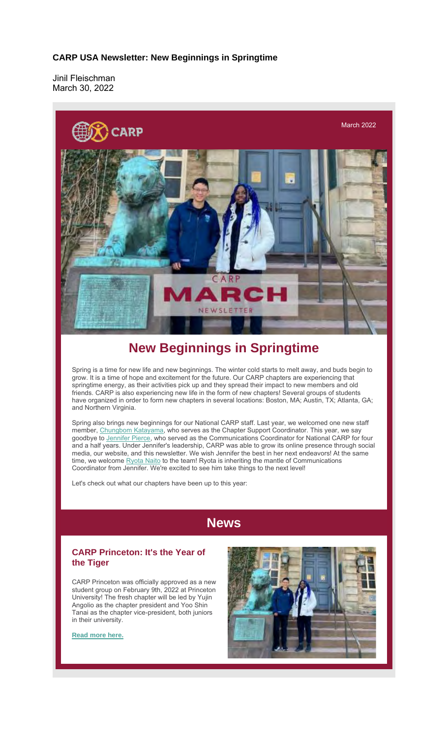## **CARP USA Newsletter: New Beginnings in Springtime**

Jinil Fleischman March 30, 2022



## **New Beginnings in Springtime**

Spring is a time for new life and new beginnings. The winter cold starts to melt away, and buds begin to grow. It is a time of hope and excitement for the future. Our CARP chapters are experiencing that springtime energy, as their activities pick up and they spread their impact to new members and old friends. CARP is also experiencing new life in the form of new chapters! Several groups of students have organized in order to form new chapters in several locations: Boston, MA; Austin, TX; Atlanta, GA; and Northern Virginia.

Spring also brings new beginnings for our National CARP staff. Last year, we welcomed one new staff member, Chungbom Katayama, who serves as the Chapter Support Coordinator. This year, we say goodbye to Jennifer Pierce, who served as the Communications Coordinator for National CARP for four and a half years. Under Jennifer's leadership, CARP was able to grow its online presence through social media, our website, and this newsletter. We wish Jennifer the best in her next endeavors! At the same time, we welcome **Ryota Naito** to the team! Ryota is inheriting the mantle of Communications Coordinator from Jennifer. We're excited to see him take things to the next level!

Let's check out what our chapters have been up to this year:

## **News**

## **CARP Princeton: It's the Year of the Tiger**

CARP Princeton was officially approved as a new student group on February 9th, 2022 at Princeton University! The fresh chapter will be led by Yujin Angolio as the chapter president and Yoo Shin Tanai as the chapter vice-president, both juniors in their university.

**Read more here.**

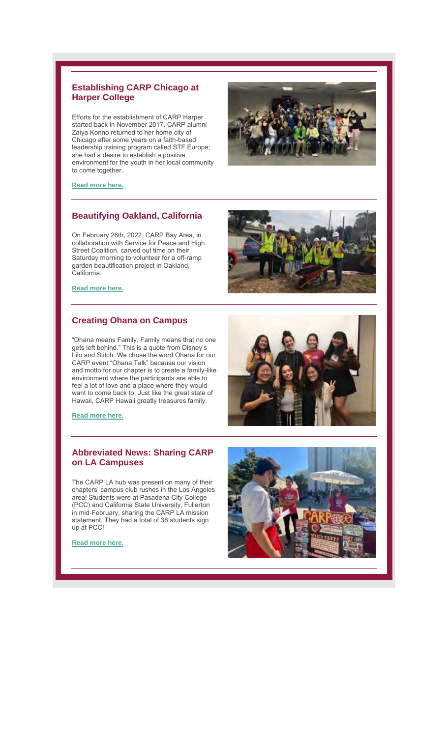## **Establishing CARP Chicago at Harper College**

Efforts for the establishment of CARP Harper started back in November 2017. CARP alumni Zaiya Konno returned to her home city of Chicago after some years on a faith-based leadership training program called STF Europe; she had a desire to establish a positive environment for the youth in her local community to come together.



### **Read more here.**

### **Beautifying Oakland, California**

On February 26th, 2022, CARP Bay Area, in collaboration with Service for Peace and High Street Coalition, carved out time on their Saturday morning to volunteer for a off-ramp garden beautification project in Oakland, California.

## **Read more here.**

## **Creating Ohana on Campus**

"Ohana means Family. Family means that no one gets left behind." This is a quote from Disney's Lilo and Stitch. We chose the word Ohana for our CARP event "Ohana Talk" because our vision and motto for our chapter is to create a family-like environment where the participants are able to feel a lot of love and a place where they would want to come back to. Just like the great state of Hawaii, CARP Hawaii greatly treasures family.

**Read more here.**

## **Abbreviated News: Sharing CARP on LA Campuses**

The CARP LA hub was present on many of their chapters' campus club rushes in the Los Angeles area! Students were at Pasadena City College (PCC) and California State University, Fullerton in mid-February, sharing the CARP LA mission statement. They had a total of 38 students sign up at PCC!

### **Read more here.**





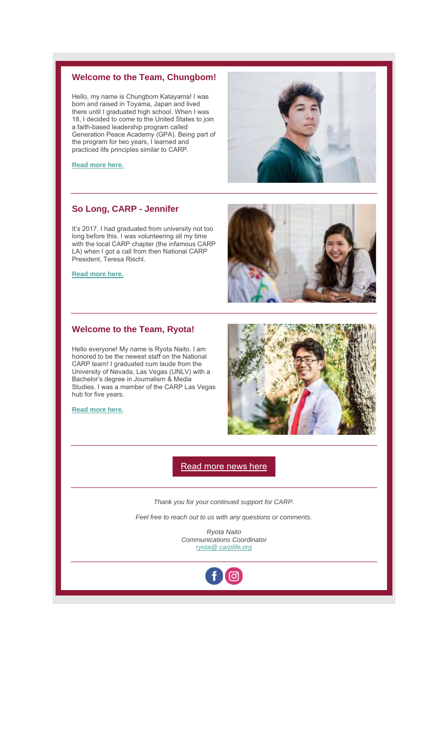## **Welcome to the Team, Chungbom!**

Hello, my name is Chungbom Katayama! I was born and raised in Toyama, Japan and lived there until I graduated high school. When I was 18, I decided to come to the United States to join a faith-based leadership program called Generation Peace Academy (GPA). Being part of the program for two years, I learned and practiced life principles similar to CARP.



**Read more here.**

## **So Long, CARP - Jennifer**

It's 2017. I had graduated from university not too long before this. I was volunteering all my time with the local CARP chapter (the infamous CARP LA) when I got a call from then National CARP President, Teresa Rischl.

**Read more here.**

## **Welcome to the Team, Ryota!**

Hello everyone! My name is Ryota Naito. I am honored to be the newest staff on the National CARP team! I graduated cum laude from the University of Nevada, Las Vegas (UNLV) with a Bachelor's degree in Journalism & Media Studies. I was a member of the CARP Las Vegas hub for five years.

**Read more here.**





Read more news here

*Thank you for your continued support for CARP.*

*Feel free to reach out to us with any questions or comments.*

*Ryota Naito Communications Coordinator ryota@ carplife,org*

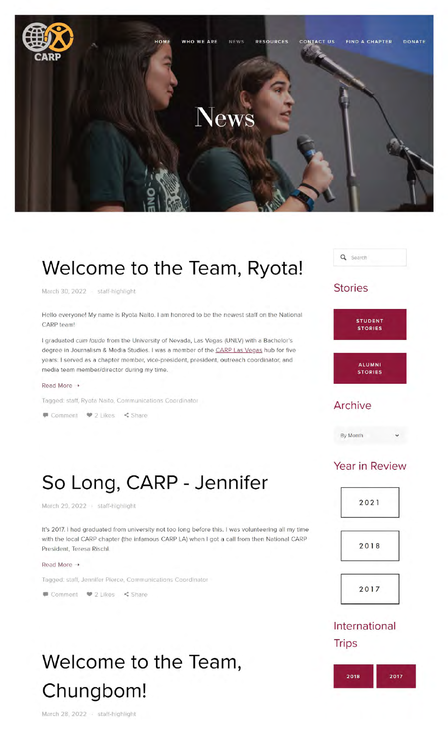

## **Welcome to the Team, Ryota!**

March 30, 2022 · staff-highlight

Hello everyone! My name is Ryota Naito. I am honored to be the newest staff on the National CARP team!

I graduated cum laude from the University of Nevada, Las Vegas (UNLV) with a Bachelor's degree in Journalism & Media Studies. I was a member of the CARP Las Vegas hub for five years. I served as a chapter member, vice-president, president, outreach coordinator, and media team member/director during my time.

### Read More •

Tagged: staff, Ryota Naito, Communications Coordinator

● Comment ● 2 Likes < Share



## **Stories**



By Month

## **So Long, CARP - Jennifer**

March 29, 2022 staff-highlight

It's 2017. I had graduated from university not too long before this. I was volunteering all my time with the local CARP chapter (the infamous CARP LA) when I got a call from then National CARP President, Teresa Rischl.

#### Read More +

Tagged: staff, Jennifer Pierce, Communications Coordinator

● Comment ● 2 Likes < Share

# **Welcome to the Team, Chungbom!**

March 28, 2022 · staff-highlight

## Year in Review





2017

## International **Trips**

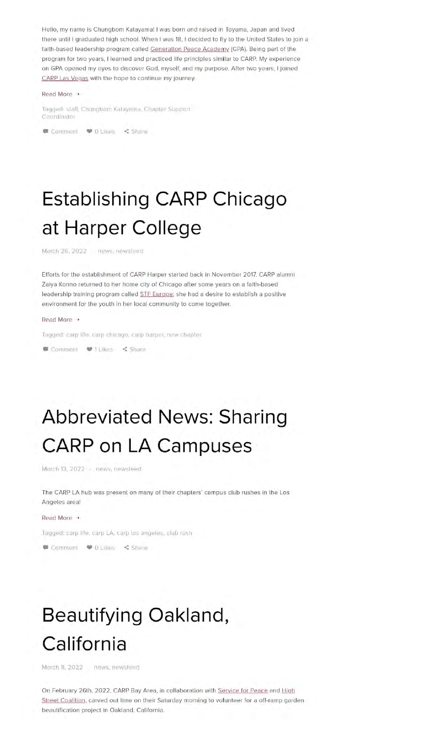Hello, my name is Chungbom Katayama! I was born and raised in Toyama. Japan and lived there until I graduated high school. When I was 18, I decided to fly to the United States to join a faith-based leadership program called Generation Peace Academy (GPA). Being part of the program for two years, I learned and practiced life principles similar to CARP. My experience on GPA opened my eyes to discover God, myself. and my purpose. After two years. I joined CARP Las Vegas with the hope to continue my journey.

### Read More +

Tagged: staff, Chungbom Katayama, Chapter Support Coordinator

Comment  $\bullet$  0 Likes < Share

# **Establishing CARP Chicago at Harper College**

March 26, 2022 news, newsfeed

Efforts for the establishment of CARP Harper started back in November 2017. CARP alumni Zaiya Konno returned to her home city of Chicago after some years on a faith-based leadership training program called STF Europe; she had a desire to establish a positive environment for the youth in her local community to come together.

### Read More •

Tagged: carp life. carp chicago, carp harper. new chapter

 $\blacksquare$  Comment  $\blacksquare$  1 Likes  $\leq$  Share

## **Abbreviated News: Sharing CARP on LA Campuses**

March 13, 2022 - news, newsfeed

The CARP LA hub was present on many of their chapters' campus club rushes in the Los Angeles area!

### **Read More →**

Tagged: carp life, carp LA, carp los angeles, club rush

Comment  $\bullet$  0 Likes < Share

## **Beautifying Oakland, California**

March 8. 2022 news. newsfeed

On February 26th, 2022, CARP Bay Area, in collaboration with Service for Peace and High Street Coalition. carved out time on their Saturday morning to volunteer for a off-ramp garden beautification project in Oakland, California.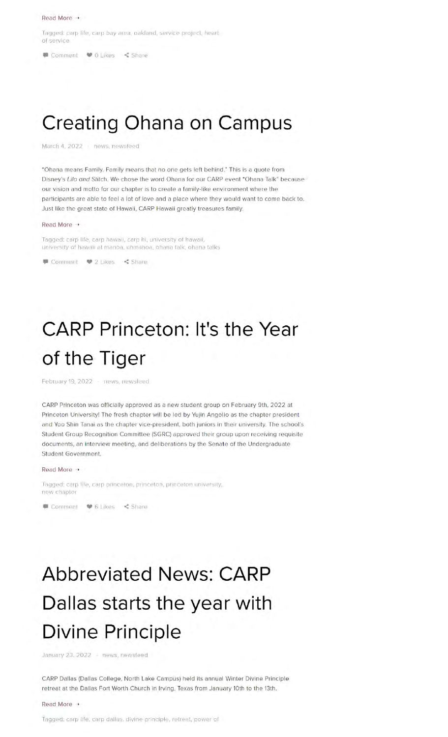### Read More •

Tagged: carp life, carp bay area, oakland, service project, heart of service

● Comment ● 0 Likes < Share

## **Creating Ohana on Campus**

March 4, 2022 · news, newsfeed

"Ohana means Family. Family means that no one gets left behind." This is a quote from Disney's Lila and Stitch. We chose the word Ohana for our CARP event "Ohana Talk" because our vision and motto for our chapter is to create a family-like environment where the participants are able to feel a lot of love and a place where they would want to come back to. Just like the great state of Hawaii, CARP Hawaii greatly treasures family.

### Read More •

Tagged: carp life, carp hawaii, carp hi, university of hawaii, university of hawaii at manoa, uhmanoa, ohana talk, ohana talks

● Comment ● 2 Likes < Share

## **CARP Princeton: It's the Year of the Tiger**

February 19, 2022 - news, newsfeed

CARP Princeton was officially approved as a new student group on February 9th, 2022 at Princeton University! The fresh chapter will be led by Yujin Angolio as the chapter president and Yoo Shin Tanai as the chapter vice-president, both juniors in their university. The school's Student Group Recognition Committee (SGRC) approved their group upon receiving requisite documents, an interview meeting, and deliberations by the Senate of the Undergraduate Student Government.

### Read More →

Tagged: carp life, carp princeton, princeton, princeton university, new chapter

● Comment ● 6 Likes < Share

# **Abbreviated News: CARP Dallas starts the year with Divine Principle**

January 23, 2022 - news, newsfeed

CARP Dallas (Dallas College, North Lake Campus) held its annual Winter Divine Principle retreat at the Dallas Fort Worth Church in Irving, Texas from January 10th to the 13th.

### Read More •

Tagged: carp life, carp dallas, divine principle, retreat, power of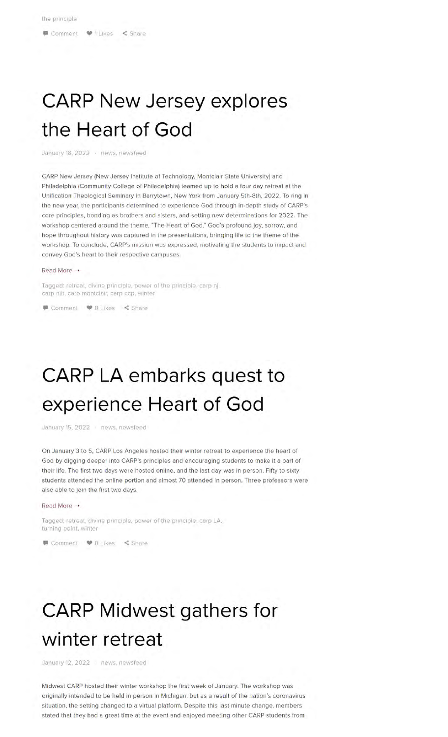## **CARP New Jersey explores the Heart of God**

January 18, 2022 news, newsfeed

CARP New Jersey (New Jersey Institute of Technology, Montclair State University) and Philadelphia (Community College of Philadelphia) teamed up to hold a four day retreat at the Unification Theological Seminary in Barrytown, New York from January 5th-8th, 2022. To ring in the new year, the participants determined to experience God through in-depth study of CARP's core principles, bonding as brothers and sisters, and setting new determinations for 2022. The workshop centered around the theme, "The Heart of God." God's profound joy, sorrow, and hope throughout history was captured in the presentations, bringing life to the theme of the workshop. To conclude, CARP's mission was expressed, motivating the students to impact and convey God's heart to their respective campuses.

#### Read More •

Tagged: retreat, divine principle, power of the principle, carp nj, carp njit, carp montclair, carp ccp, winter

● Comment ● 0 Likes < Share

## **CARP LA embarks quest to experience Heart of God**

January 15, 2022 news, newsfeed

On January 3 to 5, CARP Los Angeles hosted their winter retreat to experience the heart of God by digging deeper into CARP's principles and encouraging students to make it a part of their life. The first two days were hosted online, and the last day was in person. Fifty to sixty students attended the online portion and almost 70 attended in person. Three professors were also able to join the first two days.

#### Read More  $\rightarrow$

Tagged: retreat, divine principle, power of the principle, carp LA, turning point, winter

■ Comment ● 0 Likes < Share

## **CARP Midwest gathers for winter retreat**

January 12, 2022 news, newsfeed

Midwest CARP hosted their winter workshop the first week of January. The workshop was originally intended to be held in person in Michigan, but as a result of the nation's coronavirus situation, the setting changed to a virtual platform. Despite this last minute change, members stated that they had a great time at the event and enjoyed meeting other CARP students from